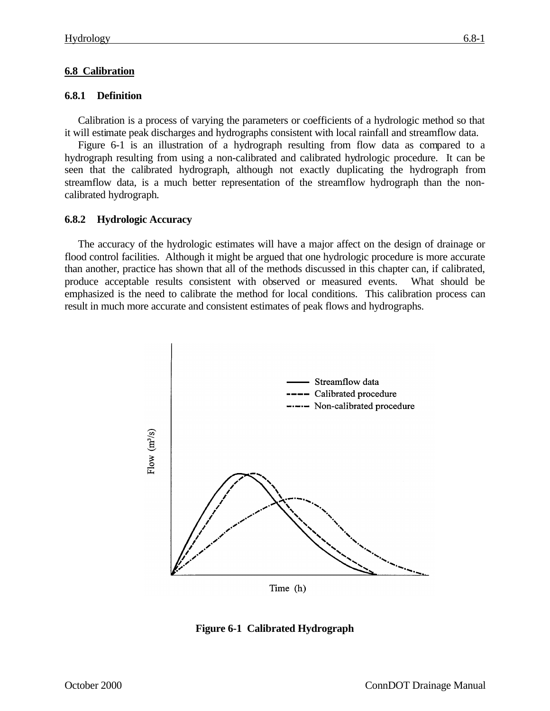## **6.8 Calibration**

## **6.8.1 Definition**

Calibration is a process of varying the parameters or coefficients of a hydrologic method so that it will estimate peak discharges and hydrographs consistent with local rainfall and streamflow data.

Figure 6-1 is an illustration of a hydrograph resulting from flow data as compared to a hydrograph resulting from using a non-calibrated and calibrated hydrologic procedure. It can be seen that the calibrated hydrograph, although not exactly duplicating the hydrograph from streamflow data, is a much better representation of the streamflow hydrograph than the noncalibrated hydrograph.

## **6.8.2 Hydrologic Accuracy**

The accuracy of the hydrologic estimates will have a major affect on the design of drainage or flood control facilities. Although it might be argued that one hydrologic procedure is more accurate than another, practice has shown that all of the methods discussed in this chapter can, if calibrated, produce acceptable results consistent with observed or measured events. What should be emphasized is the need to calibrate the method for local conditions. This calibration process can result in much more accurate and consistent estimates of peak flows and hydrographs.



**Figure 6-1 Calibrated Hydrograph**